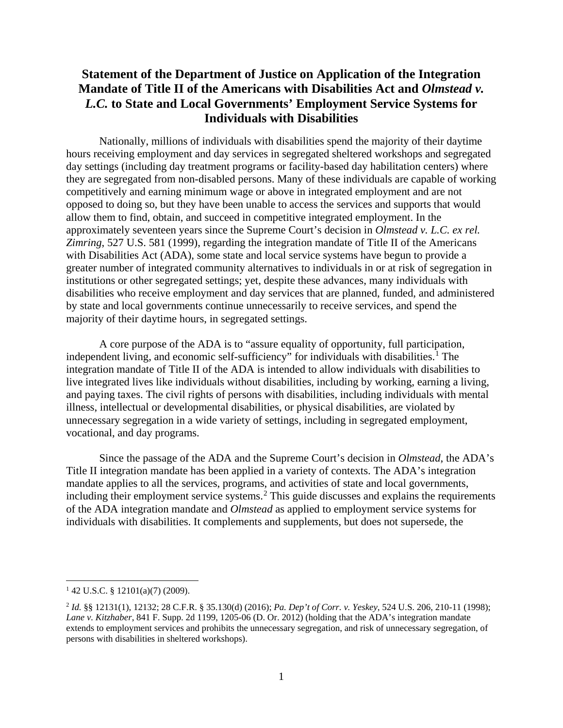# **Statement of the Department of Justice on Application of the Integration Mandate of Title II of the Americans with Disabilities Act and** *Olmstead v. L.C.* **to State and Local Governments' Employment Service Systems for Individuals with Disabilities**

Nationally, millions of individuals with disabilities spend the majority of their daytime hours receiving employment and day services in segregated sheltered workshops and segregated day settings (including day treatment programs or facility-based day habilitation centers) where they are segregated from non-disabled persons. Many of these individuals are capable of working competitively and earning minimum wage or above in integrated employment and are not opposed to doing so, but they have been unable to access the services and supports that would allow them to find, obtain, and succeed in competitive integrated employment. In the approximately seventeen years since the Supreme Court's decision in *Olmstead v. L.C. ex rel. Zimring*, 527 U.S. 581 (1999), regarding the integration mandate of Title II of the Americans with Disabilities Act (ADA), some state and local service systems have begun to provide a greater number of integrated community alternatives to individuals in or at risk of segregation in institutions or other segregated settings; yet, despite these advances, many individuals with disabilities who receive employment and day services that are planned, funded, and administered by state and local governments continue unnecessarily to receive services, and spend the majority of their daytime hours, in segregated settings.

A core purpose of the ADA is to "assure equality of opportunity, full participation, independent living, and economic self-sufficiency" for individuals with disabilities.<sup>[1](#page-0-0)</sup> The integration mandate of Title II of the ADA is intended to allow individuals with disabilities to live integrated lives like individuals without disabilities, including by working, earning a living, and paying taxes. The civil rights of persons with disabilities, including individuals with mental illness, intellectual or developmental disabilities, or physical disabilities, are violated by unnecessary segregation in a wide variety of settings, including in segregated employment, vocational, and day programs.

Since the passage of the ADA and the Supreme Court's decision in *Olmstead*, the ADA's Title II integration mandate has been applied in a variety of contexts. The ADA's integration mandate applies to all the services, programs, and activities of state and local governments, including their employment service systems.<sup>[2](#page-0-1)</sup> This guide discusses and explains the requirements of the ADA integration mandate and *Olmstead* as applied to employment service systems for individuals with disabilities. It complements and supplements, but does not supersede, the

<span id="page-0-0"></span><sup>1</sup> 42 U.S.C. § 12101(a)(7) (2009).

<span id="page-0-1"></span><sup>2</sup> *Id.* §§ 12131(1), 12132; 28 C.F.R. § 35.130(d) (2016); *Pa. Dep't of Corr. v. Yeskey*, 524 U.S. 206, 210-11 (1998); *Lane v. Kitzhaber*, 841 F. Supp. 2d 1199, 1205-06 (D. Or. 2012) (holding that the ADA's integration mandate extends to employment services and prohibits the unnecessary segregation, and risk of unnecessary segregation, of persons with disabilities in sheltered workshops).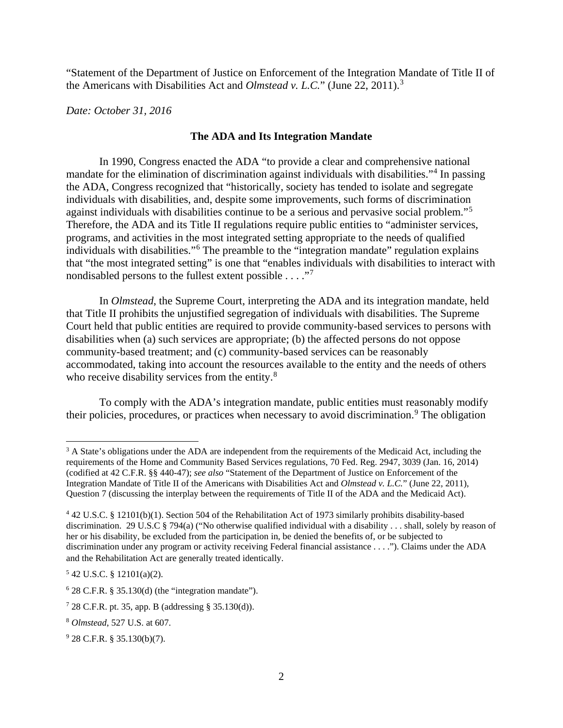"Statement of the Department of Justice on Enforcement of the Integration Mandate of Title II of the Americans with Disabilities Act and *Olmstead v. L.C.*" (June 22, 2011).[3](#page-1-0)

*Date: October 31, 2016*

#### **The ADA and Its Integration Mandate**

In 1990, Congress enacted the ADA "to provide a clear and comprehensive national mandate for the elimination of discrimination against individuals with disabilities."[4](#page-1-1) In passing the ADA, Congress recognized that "historically, society has tended to isolate and segregate individuals with disabilities, and, despite some improvements, such forms of discrimination against individuals with disabilities continue to be a serious and pervasive social problem."[5](#page-1-2) Therefore, the ADA and its Title II regulations require public entities to "administer services, programs, and activities in the most integrated setting appropriate to the needs of qualified individuals with disabilities."[6](#page-1-3) The preamble to the "integration mandate" regulation explains that "the most integrated setting" is one that "enables individuals with disabilities to interact with nondisabled persons to the fullest extent possible . . . . .<sup>[7](#page-1-4)7</sup>

In *Olmstead*, the Supreme Court, interpreting the ADA and its integration mandate, held that Title II prohibits the unjustified segregation of individuals with disabilities. The Supreme Court held that public entities are required to provide community-based services to persons with disabilities when (a) such services are appropriate; (b) the affected persons do not oppose community-based treatment; and (c) community-based services can be reasonably accommodated, taking into account the resources available to the entity and the needs of others who receive disability services from the entity.<sup>[8](#page-1-5)</sup>

To comply with the ADA's integration mandate, public entities must reasonably modify their policies, procedures, or practices when necessary to avoid discrimination.<sup>[9](#page-1-6)</sup> The obligation

<span id="page-1-2"></span> $5$  42 U.S.C. § 12101(a)(2).

<span id="page-1-0"></span> $3$  A State's obligations under the ADA are independent from the requirements of the Medicaid Act, including the requirements of the Home and Community Based Services regulations, 70 Fed. Reg. 2947, 3039 (Jan. 16, 2014) (codified at 42 C.F.R. §§ 440-47); *see also* "Statement of the Department of Justice on Enforcement of the Integration Mandate of Title II of the Americans with Disabilities Act and *Olmstead v. L.C.*" (June 22, 2011), Question 7 (discussing the interplay between the requirements of Title II of the ADA and the Medicaid Act).

<span id="page-1-1"></span><sup>4</sup> 42 U.S.C. § 12101(b)(1). Section 504 of the Rehabilitation Act of 1973 similarly prohibits disability-based discrimination. 29 U.S.C § 794(a) ("No otherwise qualified individual with a disability . . . shall, solely by reason of her or his disability, be excluded from the participation in, be denied the benefits of, or be subjected to discrimination under any program or activity receiving Federal financial assistance . . . ."). Claims under the ADA and the Rehabilitation Act are generally treated identically.

<span id="page-1-3"></span> $6$  28 C.F.R. § 35.130(d) (the "integration mandate").

<span id="page-1-4"></span> $728$  C.F.R. pt. 35, app. B (addressing § 35.130(d)).

<span id="page-1-5"></span><sup>8</sup> *Olmstead*, 527 U.S. at 607.

<span id="page-1-6"></span><sup>9</sup> 28 C.F.R. § 35.130(b)(7).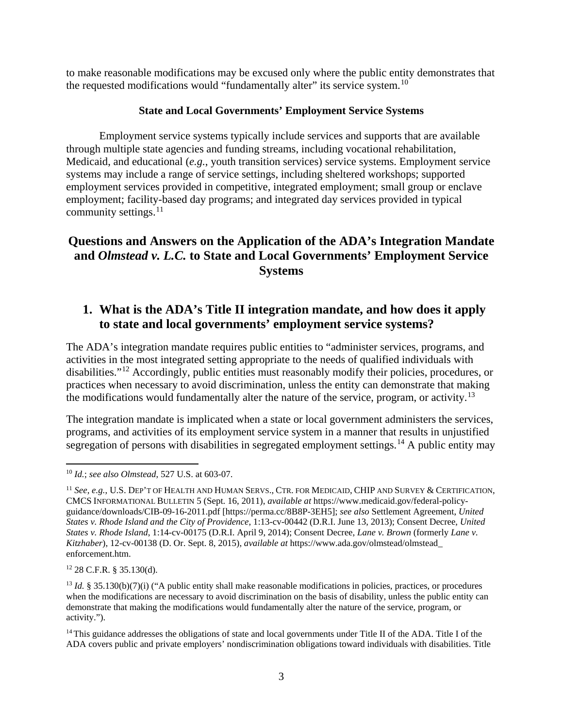to make reasonable modifications may be excused only where the public entity demonstrates that the requested modifications would "fundamentally alter" its service system.<sup>[10](#page-2-0)</sup>

#### **State and Local Governments' Employment Service Systems**

Employment service systems typically include services and supports that are available through multiple state agencies and funding streams, including vocational rehabilitation, Medicaid, and educational (*e.g.*, youth transition services) service systems. Employment service systems may include a range of service settings, including sheltered workshops; supported employment services provided in competitive, integrated employment; small group or enclave employment; facility-based day programs; and integrated day services provided in typical community settings.<sup>11</sup>

# **Questions and Answers on the Application of the ADA's Integration Mandate and** *Olmstead v. L.C.* **to State and Local Governments' Employment Service Systems**

# **1. What is the ADA's Title II integration mandate, and how does it apply to state and local governments' employment service systems?**

The ADA's integration mandate requires public entities to "administer services, programs, and activities in the most integrated setting appropriate to the needs of qualified individuals with disabilities."[12](#page-2-2) Accordingly, public entities must reasonably modify their policies, procedures, or practices when necessary to avoid discrimination, unless the entity can demonstrate that making the modifications would fundamentally alter the nature of the service, program, or activity.<sup>[13](#page-2-3)</sup>

The integration mandate is implicated when a state or local government administers the services, programs, and activities of its employment service system in a manner that results in unjustified segregation of persons with disabilities in segregated employment settings.<sup>[14](#page-2-4)</sup> A public entity may

<span id="page-2-2"></span><sup>12</sup> 28 C.F.R. § 35.130(d).

<span id="page-2-0"></span> $\overline{a}$ <sup>10</sup> *Id.*; *see also Olmstead*, 527 U.S. at 603-07.

<span id="page-2-1"></span><sup>&</sup>lt;sup>11</sup> See, e.g., U.S. DEP'T OF HEALTH AND HUMAN SERVS., CTR. FOR MEDICAID, CHIP AND SURVEY & CERTIFICATION, CMCS INFORMATIONAL BULLETIN 5 (Sept. 16, 2011), *available at* https://www.medicaid.gov/federal-policyguidance/downloads/CIB-09-16-2011.pdf [https://perma.cc/8B8P-3EH5]; *see also* Settlement Agreement, *United States v. Rhode Island and the City of Providence*, 1:13-cv-00442 (D.R.I. June 13, 2013); Consent Decree, *United States v. Rhode Island*, 1:14-cv-00175 (D.R.I. April 9, 2014); Consent Decree, *Lane v. Brown* (formerly *Lane v. Kitzhaber*), 12-cv-00138 (D. Or. Sept. 8, 2015), *available at* https://www.ada.gov/olmstead/olmstead\_ enforcement.htm.

<span id="page-2-3"></span><sup>&</sup>lt;sup>13</sup> *Id.* § 35.130(b)(7)(i) ("A public entity shall make reasonable modifications in policies, practices, or procedures when the modifications are necessary to avoid discrimination on the basis of disability, unless the public entity can demonstrate that making the modifications would fundamentally alter the nature of the service, program, or activity.").

<span id="page-2-4"></span><sup>&</sup>lt;sup>14</sup> This guidance addresses the obligations of state and local governments under Title II of the ADA. Title I of the ADA covers public and private employers' nondiscrimination obligations toward individuals with disabilities. Title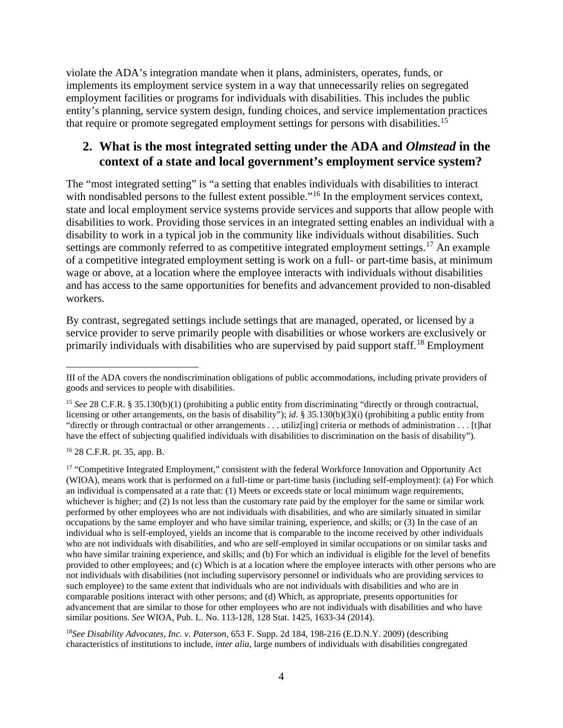violate the ADA's integration mandate when it plans, administers, operates, funds, or implements its employment service system in a way that unnecessarily relies on segregated employment facilities or programs for individuals with disabilities. This includes the public entity's planning, service system design, funding choices, and service implementation practices that require or promote segregated employment settings for persons with disabilities.<sup>[15](#page-3-0)</sup>

## **2. What is the most integrated setting under the ADA and** *Olmstead* **in the context of a state and local government's employment service system?**

The "most integrated setting" is "a setting that enables individuals with disabilities to interact with nondisabled persons to the fullest extent possible."<sup>[16](#page-3-1)</sup> In the employment services context, state and local employment service systems provide services and supports that allow people with disabilities to work. Providing those services in an integrated setting enables an individual with a disability to work in a typical job in the community like individuals without disabilities. Such settings are commonly referred to as competitive integrated employment settings.<sup>[17](#page-3-2)</sup> An example of a competitive integrated employment setting is work on a full- or part-time basis, at minimum wage or above, at a location where the employee interacts with individuals without disabilities and has access to the same opportunities for benefits and advancement provided to non-disabled workers.

By contrast, segregated settings include settings that are managed, operated, or licensed by a service provider to serve primarily people with disabilities or whose workers are exclusively or primarily individuals with disabilities who are supervised by paid support staff.<sup>[18](#page-3-3)</sup> Employment

<span id="page-3-1"></span><sup>16</sup> 28 C.F.R. pt. 35, app. B.

<span id="page-3-2"></span><sup>17</sup> "Competitive Integrated Employment," consistent with the federal Workforce Innovation and Opportunity Act (WIOA), means work that is performed on a full-time or part-time basis (including self-employment): (a) For which an individual is compensated at a rate that: (1) Meets or exceeds state or local minimum wage requirements, whichever is higher; and (2) Is not less than the customary rate paid by the employer for the same or similar work performed by other employees who are not individuals with disabilities, and who are similarly situated in similar occupations by the same employer and who have similar training, experience, and skills; or (3) In the case of an individual who is self-employed, yields an income that is comparable to the income received by other individuals who are not individuals with disabilities, and who are self-employed in similar occupations or on similar tasks and who have similar training experience, and skills; and (b) For which an individual is eligible for the level of benefits provided to other employees; and (c) Which is at a location where the employee interacts with other persons who are not individuals with disabilities (not including supervisory personnel or individuals who are providing services to such employee) to the same extent that individuals who are not individuals with disabilities and who are in comparable positions interact with other persons; and (d) Which, as appropriate, presents opportunities for advancement that are similar to those for other employees who are not individuals with disabilities and who have similar positions. *See* WIOA, Pub. L. No. 113-128, 128 Stat. 1425, 1633-34 (2014).

<span id="page-3-3"></span><sup>18</sup>*See Disability Advocates, Inc. v. Paterson*, 653 F. Supp. 2d 184, 198-216 (E.D.N.Y. 2009) (describing characteristics of institutions to include, *inter alia*, large numbers of individuals with disabilities congregated

 $\overline{a}$ III of the ADA covers the nondiscrimination obligations of public accommodations, including private providers of goods and services to people with disabilities.

<span id="page-3-0"></span><sup>15</sup> *See* 28 C.F.R. § 35.130(b)(1) (prohibiting a public entity from discriminating "directly or through contractual, licensing or other arrangements, on the basis of disability"); *id.* § 35.130(b)(3)(i) (prohibiting a public entity from "directly or through contractual or other arrangements . . . utiliz[ing] criteria or methods of administration . . . [t]hat have the effect of subjecting qualified individuals with disabilities to discrimination on the basis of disability").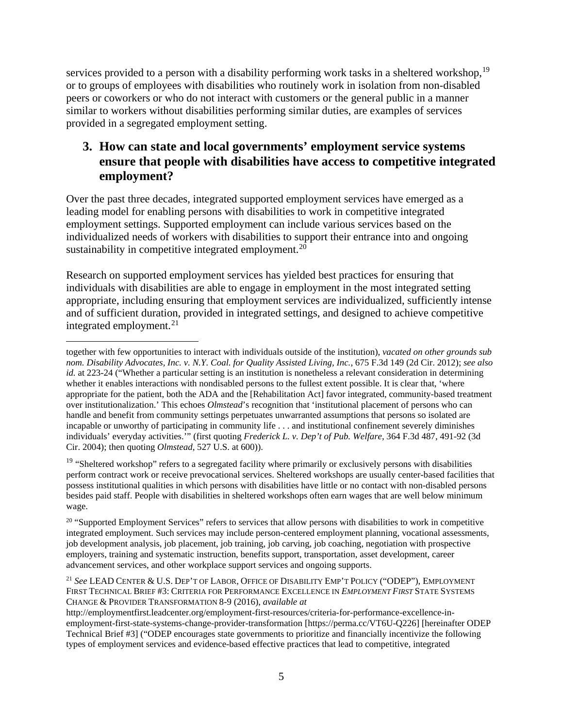services provided to a person with a disability performing work tasks in a sheltered workshop,<sup>[19](#page-4-0)</sup> or to groups of employees with disabilities who routinely work in isolation from non-disabled peers or coworkers or who do not interact with customers or the general public in a manner similar to workers without disabilities performing similar duties, are examples of services provided in a segregated employment setting.

# **3. How can state and local governments' employment service systems ensure that people with disabilities have access to competitive integrated employment?**

Over the past three decades, integrated supported employment services have emerged as a leading model for enabling persons with disabilities to work in competitive integrated employment settings. Supported employment can include various services based on the individualized needs of workers with disabilities to support their entrance into and ongoing sustainability in competitive integrated employment.<sup>[20](#page-4-1)</sup>

Research on supported employment services has yielded best practices for ensuring that individuals with disabilities are able to engage in employment in the most integrated setting appropriate, including ensuring that employment services are individualized, sufficiently intense and of sufficient duration, provided in integrated settings, and designed to achieve competitive integrated employment. $^{21}$ 

 $\overline{a}$ together with few opportunities to interact with individuals outside of the institution), *vacated on other grounds sub nom. Disability Advocates, Inc. v. N.Y. Coal. for Quality Assisted Living, Inc.*, 675 F.3d 149 (2d Cir. 2012); *see also id.* at 223-24 ("Whether a particular setting is an institution is nonetheless a relevant consideration in determining whether it enables interactions with nondisabled persons to the fullest extent possible. It is clear that, 'where appropriate for the patient, both the ADA and the [Rehabilitation Act] favor integrated, community-based treatment over institutionalization.' This echoes *Olmstead*'s recognition that 'institutional placement of persons who can handle and benefit from community settings perpetuates unwarranted assumptions that persons so isolated are incapable or unworthy of participating in community life . . . and institutional confinement severely diminishes individuals' everyday activities.'" (first quoting *Frederick L. v. Dep't of Pub. Welfare*, 364 F.3d 487, 491-92 (3d Cir. 2004); then quoting *Olmstead*, 527 U.S. at 600)).

<span id="page-4-0"></span><sup>&</sup>lt;sup>19</sup> "Sheltered workshop" refers to a segregated facility where primarily or exclusively persons with disabilities perform contract work or receive prevocational services. Sheltered workshops are usually center-based facilities that possess institutional qualities in which persons with disabilities have little or no contact with non-disabled persons besides paid staff. People with disabilities in sheltered workshops often earn wages that are well below minimum wage.

<span id="page-4-1"></span> $20$  "Supported Employment Services" refers to services that allow persons with disabilities to work in competitive integrated employment. Such services may include person-centered employment planning, vocational assessments, job development analysis, job placement, job training, job carving, job coaching, negotiation with prospective employers, training and systematic instruction, benefits support, transportation, asset development, career advancement services, and other workplace support services and ongoing supports.

<span id="page-4-2"></span><sup>21</sup> *See* LEAD CENTER & U.S. DEP'T OF LABOR, OFFICE OF DISABILITY EMP'T POLICY ("ODEP"), EMPLOYMENT FIRST TECHNICAL BRIEF #3: CRITERIA FOR PERFORMANCE EXCELLENCE IN *EMPLOYMENT FIRST* STATE SYSTEMS CHANGE & PROVIDER TRANSFORMATION 8-9 (2016), *available at*

http://employmentfirst.leadcenter.org/employment-first-resources/criteria-for-performance-excellence-inemployment-first-state-systems-change-provider-transformation [https://perma.cc/VT6U-Q226] [hereinafter ODEP Technical Brief #3] ("ODEP encourages state governments to prioritize and financially incentivize the following types of employment services and evidence-based effective practices that lead to competitive, integrated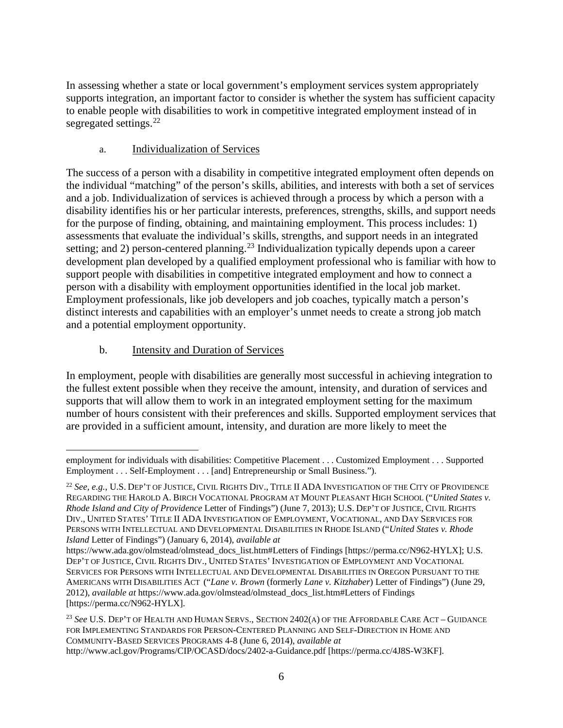In assessing whether a state or local government's employment services system appropriately supports integration, an important factor to consider is whether the system has sufficient capacity to enable people with disabilities to work in competitive integrated employment instead of in segregated settings.<sup>[22](#page-5-0)</sup>

### a. Individualization of Services

The success of a person with a disability in competitive integrated employment often depends on the individual "matching" of the person's skills, abilities, and interests with both a set of services and a job. Individualization of services is achieved through a process by which a person with a disability identifies his or her particular interests, preferences, strengths, skills, and support needs for the purpose of finding, obtaining, and maintaining employment. This process includes: 1) assessments that evaluate the individual's skills, strengths, and support needs in an integrated setting; and 2) person-centered planning.<sup>[23](#page-5-1)</sup> Individualization typically depends upon a career development plan developed by a qualified employment professional who is familiar with how to support people with disabilities in competitive integrated employment and how to connect a person with a disability with employment opportunities identified in the local job market. Employment professionals, like job developers and job coaches, typically match a person's distinct interests and capabilities with an employer's unmet needs to create a strong job match and a potential employment opportunity.

### b. Intensity and Duration of Services

In employment, people with disabilities are generally most successful in achieving integration to the fullest extent possible when they receive the amount, intensity, and duration of services and supports that will allow them to work in an integrated employment setting for the maximum number of hours consistent with their preferences and skills. Supported employment services that are provided in a sufficient amount, intensity, and duration are more likely to meet the

 $\overline{a}$ employment for individuals with disabilities: Competitive Placement . . . Customized Employment . . . Supported Employment . . . Self-Employment . . . [and] Entrepreneurship or Small Business.").

<span id="page-5-0"></span><sup>22</sup> *See, e.g.*, U.S. DEP'T OF JUSTICE, CIVIL RIGHTS DIV., TITLE II ADA INVESTIGATION OF THE CITY OF PROVIDENCE REGARDING THE HAROLD A. BIRCH VOCATIONAL PROGRAM AT MOUNT PLEASANT HIGH SCHOOL ("*United States v. Rhode Island and City of Providence* Letter of Findings") (June 7, 2013); U.S. DEP'T OF JUSTICE, CIVIL RIGHTS DIV., UNITED STATES' TITLE II ADA INVESTIGATION OF EMPLOYMENT, VOCATIONAL, AND DAY SERVICES FOR PERSONS WITH INTELLECTUAL AND DEVELOPMENTAL DISABILITIES IN RHODE ISLAND ("*United States v. Rhode Island* Letter of Findings") (January 6, 2014), *available at*

https://www.ada.gov/olmstead/olmstead\_docs\_list.htm#Letters of Findings [https://perma.cc/N962-HYLX]; U.S. DEP'T OF JUSTICE, CIVIL RIGHTS DIV., UNITED STATES' INVESTIGATION OF EMPLOYMENT AND VOCATIONAL SERVICES FOR PERSONS WITH INTELLECTUAL AND DEVELOPMENTAL DISABILITIES IN OREGON PURSUANT TO THE AMERICANS WITH DISABILITIES ACT ("*Lane v. Brown* (formerly *Lane v. Kitzhaber*) Letter of Findings") (June 29, 2012), *available at* https://www.ada.gov/olmstead/olmstead\_docs\_list.htm#Letters of Findings [https://perma.cc/N962-HYLX].

<span id="page-5-1"></span><sup>23</sup> *See* U.S. DEP'T OF HEALTH AND HUMAN SERVS., SECTION 2402(A) OF THE AFFORDABLE CARE ACT – GUIDANCE FOR IMPLEMENTING STANDARDS FOR PERSON-CENTERED PLANNING AND SELF-DIRECTION IN HOME AND COMMUNITY-BASED SERVICES PROGRAMS 4-8 (June 6, 2014), *available at* http://www.acl.gov/Programs/CIP/OCASD/docs/2402-a-Guidance.pdf [https://perma.cc/4J8S-W3KF].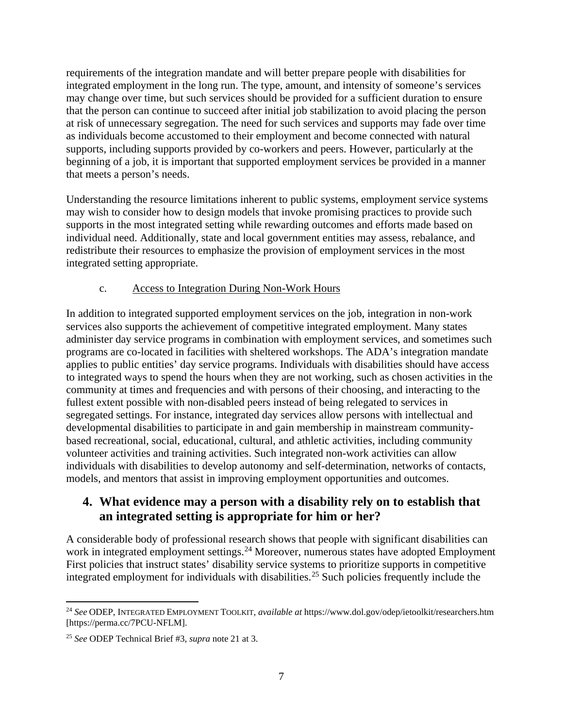requirements of the integration mandate and will better prepare people with disabilities for integrated employment in the long run. The type, amount, and intensity of someone's services may change over time, but such services should be provided for a sufficient duration to ensure that the person can continue to succeed after initial job stabilization to avoid placing the person at risk of unnecessary segregation. The need for such services and supports may fade over time as individuals become accustomed to their employment and become connected with natural supports, including supports provided by co-workers and peers. However, particularly at the beginning of a job, it is important that supported employment services be provided in a manner that meets a person's needs.

Understanding the resource limitations inherent to public systems, employment service systems may wish to consider how to design models that invoke promising practices to provide such supports in the most integrated setting while rewarding outcomes and efforts made based on individual need. Additionally, state and local government entities may assess, rebalance, and redistribute their resources to emphasize the provision of employment services in the most integrated setting appropriate.

### c. Access to Integration During Non-Work Hours

In addition to integrated supported employment services on the job, integration in non-work services also supports the achievement of competitive integrated employment. Many states administer day service programs in combination with employment services, and sometimes such programs are co-located in facilities with sheltered workshops. The ADA's integration mandate applies to public entities' day service programs. Individuals with disabilities should have access to integrated ways to spend the hours when they are not working, such as chosen activities in the community at times and frequencies and with persons of their choosing, and interacting to the fullest extent possible with non-disabled peers instead of being relegated to services in segregated settings. For instance, integrated day services allow persons with intellectual and developmental disabilities to participate in and gain membership in mainstream communitybased recreational, social, educational, cultural, and athletic activities, including community volunteer activities and training activities. Such integrated non-work activities can allow individuals with disabilities to develop autonomy and self-determination, networks of contacts, models, and mentors that assist in improving employment opportunities and outcomes.

## **4. What evidence may a person with a disability rely on to establish that an integrated setting is appropriate for him or her?**

A considerable body of professional research shows that people with significant disabilities can work in integrated employment settings.<sup>[24](#page-6-0)</sup> Moreover, numerous states have adopted Employment First policies that instruct states' disability service systems to prioritize supports in competitive integrated employment for individuals with disabilities.<sup>[25](#page-6-1)</sup> Such policies frequently include the

<span id="page-6-0"></span> $\overline{a}$ <sup>24</sup> *See* ODEP, INTEGRATED EMPLOYMENT TOOLKIT, *available at* https://www.dol.gov/odep/ietoolkit/researchers.htm [https://perma.cc/7PCU-NFLM].

<span id="page-6-1"></span><sup>25</sup> *See* ODEP Technical Brief #3, *supra* note 21 at 3.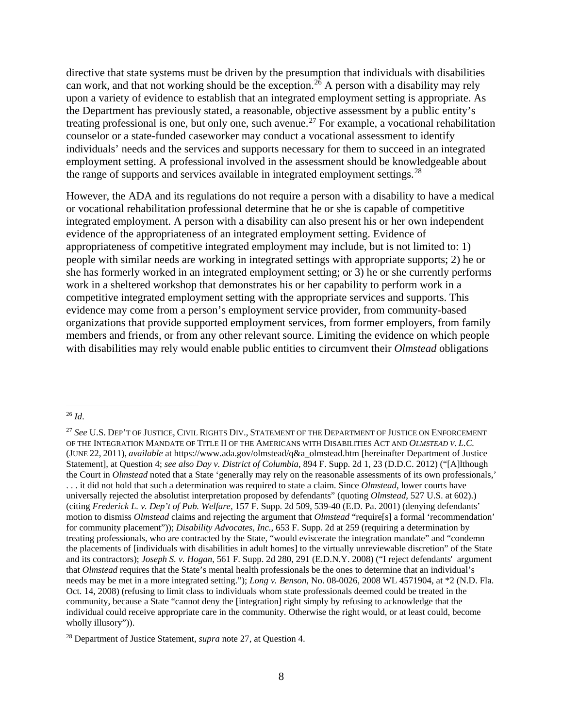directive that state systems must be driven by the presumption that individuals with disabilities can work, and that not working should be the exception.<sup>[26](#page-7-0)</sup> A person with a disability may rely upon a variety of evidence to establish that an integrated employment setting is appropriate. As the Department has previously stated, a reasonable, objective assessment by a public entity's treating professional is one, but only one, such avenue.<sup>[27](#page-7-1)</sup> For example, a vocational rehabilitation counselor or a state-funded caseworker may conduct a vocational assessment to identify individuals' needs and the services and supports necessary for them to succeed in an integrated employment setting. A professional involved in the assessment should be knowledgeable about the range of supports and services available in integrated employment settings.<sup>[28](#page-7-2)</sup>

However, the ADA and its regulations do not require a person with a disability to have a medical or vocational rehabilitation professional determine that he or she is capable of competitive integrated employment. A person with a disability can also present his or her own independent evidence of the appropriateness of an integrated employment setting. Evidence of appropriateness of competitive integrated employment may include, but is not limited to: 1) people with similar needs are working in integrated settings with appropriate supports; 2) he or she has formerly worked in an integrated employment setting; or 3) he or she currently performs work in a sheltered workshop that demonstrates his or her capability to perform work in a competitive integrated employment setting with the appropriate services and supports. This evidence may come from a person's employment service provider, from community-based organizations that provide supported employment services, from former employers, from family members and friends, or from any other relevant source. Limiting the evidence on which people with disabilities may rely would enable public entities to circumvent their *Olmstead* obligations

<span id="page-7-0"></span> $\overline{a}$ <sup>26</sup> *Id*.

<span id="page-7-1"></span><sup>27</sup> *See* U.S. DEP'T OF JUSTICE, CIVIL RIGHTS DIV., STATEMENT OF THE DEPARTMENT OF JUSTICE ON ENFORCEMENT OF THE INTEGRATION MANDATE OF TITLE II OF THE AMERICANS WITH DISABILITIES ACT AND *OLMSTEAD V. L.C.* (JUNE 22, 2011), *available* at https://www.ada.gov/olmstead/q&a\_olmstead.htm [hereinafter Department of Justice Statement], at Question 4; *see also Day v. District of Columbia*, 894 F. Supp. 2d 1, 23 (D.D.C. 2012) ("[A]lthough the Court in *Olmstead* noted that a State 'generally may rely on the reasonable assessments of its own professionals,' . . . it did not hold that such a determination was required to state a claim. Since *Olmstead*, lower courts have universally rejected the absolutist interpretation proposed by defendants" (quoting *Olmstead*, 527 U.S. at 602).) (citing *Frederick L. v. Dep't of Pub. Welfare*, 157 F. Supp. 2d 509, 539-40 (E.D. Pa. 2001) (denying defendants' motion to dismiss *Olmstead* claims and rejecting the argument that *Olmstead* "require[s] a formal 'recommendation' for community placement")); *Disability Advocates, Inc.*, 653 F. Supp. 2d at 259 (requiring a determination by treating professionals, who are contracted by the State, "would eviscerate the integration mandate" and "condemn the placements of [individuals with disabilities in adult homes] to the virtually unreviewable discretion" of the State and its contractors); *Joseph S. v. Hogan*, 561 F. Supp. 2d 280, 291 (E.D.N.Y. 2008) ("I reject defendants' argument that *Olmstead* requires that the State's mental health professionals be the ones to determine that an individual's needs may be met in a more integrated setting."); *Long v. Benson*, No. 08-0026, 2008 WL 4571904, at \*2 (N.D. Fla. Oct. 14, 2008) (refusing to limit class to individuals whom state professionals deemed could be treated in the community, because a State "cannot deny the [integration] right simply by refusing to acknowledge that the individual could receive appropriate care in the community. Otherwise the right would, or at least could, become wholly illusory")).

<span id="page-7-2"></span><sup>28</sup> Department of Justice Statement, *supra* note 27, at Question 4.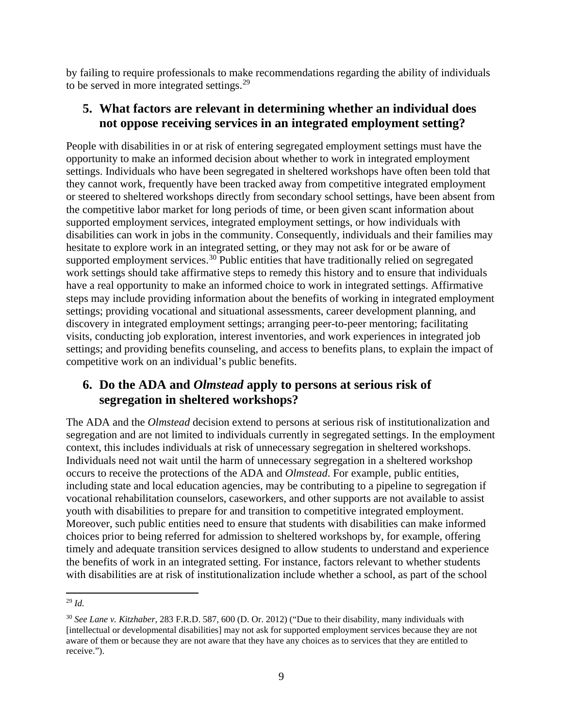by failing to require professionals to make recommendations regarding the ability of individuals to be served in more integrated settings. $29$ 

## **5. What factors are relevant in determining whether an individual does not oppose receiving services in an integrated employment setting?**

People with disabilities in or at risk of entering segregated employment settings must have the opportunity to make an informed decision about whether to work in integrated employment settings. Individuals who have been segregated in sheltered workshops have often been told that they cannot work, frequently have been tracked away from competitive integrated employment or steered to sheltered workshops directly from secondary school settings, have been absent from the competitive labor market for long periods of time, or been given scant information about supported employment services, integrated employment settings, or how individuals with disabilities can work in jobs in the community. Consequently, individuals and their families may hesitate to explore work in an integrated setting, or they may not ask for or be aware of supported employment services.<sup>[30](#page-8-1)</sup> Public entities that have traditionally relied on segregated work settings should take affirmative steps to remedy this history and to ensure that individuals have a real opportunity to make an informed choice to work in integrated settings. Affirmative steps may include providing information about the benefits of working in integrated employment settings; providing vocational and situational assessments, career development planning, and discovery in integrated employment settings; arranging peer-to-peer mentoring; facilitating visits, conducting job exploration, interest inventories, and work experiences in integrated job settings; and providing benefits counseling, and access to benefits plans, to explain the impact of competitive work on an individual's public benefits.

# **6. Do the ADA and** *Olmstead* **apply to persons at serious risk of segregation in sheltered workshops?**

The ADA and the *Olmstead* decision extend to persons at serious risk of institutionalization and segregation and are not limited to individuals currently in segregated settings. In the employment context, this includes individuals at risk of unnecessary segregation in sheltered workshops. Individuals need not wait until the harm of unnecessary segregation in a sheltered workshop occurs to receive the protections of the ADA and *Olmstead*. For example, public entities, including state and local education agencies, may be contributing to a pipeline to segregation if vocational rehabilitation counselors, caseworkers, and other supports are not available to assist youth with disabilities to prepare for and transition to competitive integrated employment. Moreover, such public entities need to ensure that students with disabilities can make informed choices prior to being referred for admission to sheltered workshops by, for example, offering timely and adequate transition services designed to allow students to understand and experience the benefits of work in an integrated setting. For instance, factors relevant to whether students with disabilities are at risk of institutionalization include whether a school, as part of the school

<span id="page-8-0"></span> $\overline{a}$ <sup>29</sup> *Id.*

<span id="page-8-1"></span><sup>30</sup> *See Lane v. Kitzhaber*, 283 F.R.D. 587, 600 (D. Or. 2012) ("Due to their disability, many individuals with [intellectual or developmental disabilities] may not ask for supported employment services because they are not aware of them or because they are not aware that they have any choices as to services that they are entitled to receive.").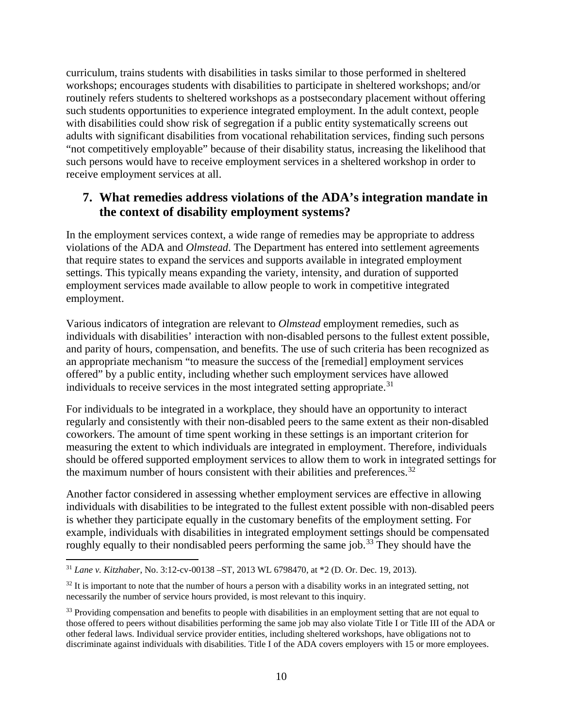curriculum, trains students with disabilities in tasks similar to those performed in sheltered workshops; encourages students with disabilities to participate in sheltered workshops; and/or routinely refers students to sheltered workshops as a postsecondary placement without offering such students opportunities to experience integrated employment. In the adult context, people with disabilities could show risk of segregation if a public entity systematically screens out adults with significant disabilities from vocational rehabilitation services, finding such persons "not competitively employable" because of their disability status, increasing the likelihood that such persons would have to receive employment services in a sheltered workshop in order to receive employment services at all.

# **7. What remedies address violations of the ADA's integration mandate in the context of disability employment systems?**

In the employment services context, a wide range of remedies may be appropriate to address violations of the ADA and *Olmstead*. The Department has entered into settlement agreements that require states to expand the services and supports available in integrated employment settings. This typically means expanding the variety, intensity, and duration of supported employment services made available to allow people to work in competitive integrated employment.

Various indicators of integration are relevant to *Olmstead* employment remedies, such as individuals with disabilities' interaction with non-disabled persons to the fullest extent possible, and parity of hours, compensation, and benefits. The use of such criteria has been recognized as an appropriate mechanism "to measure the success of the [remedial] employment services offered" by a public entity, including whether such employment services have allowed individuals to receive services in the most integrated setting appropriate.<sup>[31](#page-9-0)</sup>

For individuals to be integrated in a workplace, they should have an opportunity to interact regularly and consistently with their non-disabled peers to the same extent as their non-disabled coworkers. The amount of time spent working in these settings is an important criterion for measuring the extent to which individuals are integrated in employment. Therefore, individuals should be offered supported employment services to allow them to work in integrated settings for the maximum number of hours consistent with their abilities and preferences.<sup>[32](#page-9-1)</sup>

Another factor considered in assessing whether employment services are effective in allowing individuals with disabilities to be integrated to the fullest extent possible with non-disabled peers is whether they participate equally in the customary benefits of the employment setting. For example, individuals with disabilities in integrated employment settings should be compensated roughly equally to their nondisabled peers performing the same job.<sup>[33](#page-9-2)</sup> They should have the

<span id="page-9-0"></span> $\overline{a}$ <sup>31</sup> *Lane v. Kitzhaber*, No. 3:12-cv-00138 –ST, 2013 WL 6798470, at \*2 (D. Or. Dec. 19, 2013).

<span id="page-9-1"></span> $32$  It is important to note that the number of hours a person with a disability works in an integrated setting, not necessarily the number of service hours provided, is most relevant to this inquiry.

<span id="page-9-2"></span><sup>&</sup>lt;sup>33</sup> Providing compensation and benefits to people with disabilities in an employment setting that are not equal to those offered to peers without disabilities performing the same job may also violate Title I or Title III of the ADA or other federal laws. Individual service provider entities, including sheltered workshops, have obligations not to discriminate against individuals with disabilities. Title I of the ADA covers employers with 15 or more employees.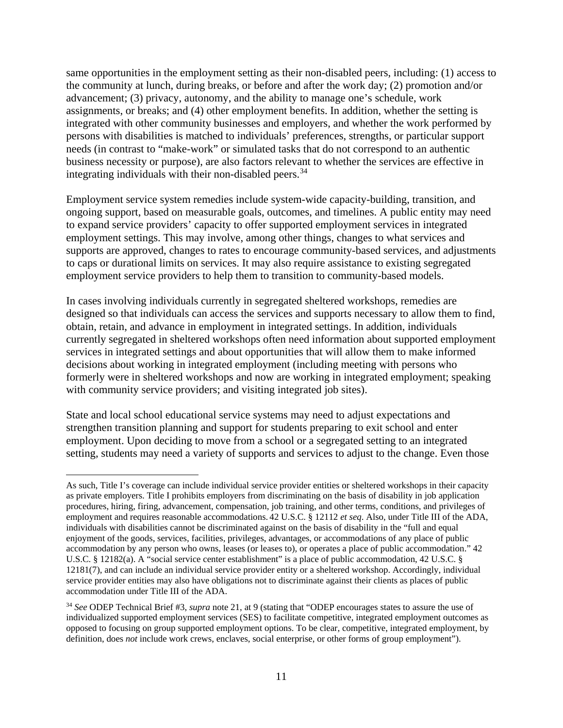same opportunities in the employment setting as their non-disabled peers, including: (1) access to the community at lunch, during breaks, or before and after the work day; (2) promotion and/or advancement; (3) privacy, autonomy, and the ability to manage one's schedule, work assignments, or breaks; and (4) other employment benefits. In addition, whether the setting is integrated with other community businesses and employers, and whether the work performed by persons with disabilities is matched to individuals' preferences, strengths, or particular support needs (in contrast to "make-work" or simulated tasks that do not correspond to an authentic business necessity or purpose), are also factors relevant to whether the services are effective in integrating individuals with their non-disabled peers. $34$ 

Employment service system remedies include system-wide capacity-building, transition, and ongoing support, based on measurable goals, outcomes, and timelines. A public entity may need to expand service providers' capacity to offer supported employment services in integrated employment settings. This may involve, among other things, changes to what services and supports are approved, changes to rates to encourage community-based services, and adjustments to caps or durational limits on services. It may also require assistance to existing segregated employment service providers to help them to transition to community-based models.

In cases involving individuals currently in segregated sheltered workshops, remedies are designed so that individuals can access the services and supports necessary to allow them to find, obtain, retain, and advance in employment in integrated settings. In addition, individuals currently segregated in sheltered workshops often need information about supported employment services in integrated settings and about opportunities that will allow them to make informed decisions about working in integrated employment (including meeting with persons who formerly were in sheltered workshops and now are working in integrated employment; speaking with community service providers; and visiting integrated job sites).

State and local school educational service systems may need to adjust expectations and strengthen transition planning and support for students preparing to exit school and enter employment. Upon deciding to move from a school or a segregated setting to an integrated setting, students may need a variety of supports and services to adjust to the change. Even those

 $\overline{a}$ As such, Title I's coverage can include individual service provider entities or sheltered workshops in their capacity as private employers. Title I prohibits employers from discriminating on the basis of disability in job application procedures, hiring, firing, advancement, compensation, job training, and other terms, conditions, and privileges of employment and requires reasonable accommodations. 42 U.S.C. § 12112 *et seq*. Also, under Title III of the ADA, individuals with disabilities cannot be discriminated against on the basis of disability in the "full and equal enjoyment of the goods, services, facilities, privileges, advantages, or accommodations of any place of public accommodation by any person who owns, leases (or leases to), or operates a place of public accommodation." 42 U.S.C. § 12182(a). A "social service center establishment" is a place of public accommodation, 42 U.S.C. § 12181(7), and can include an individual service provider entity or a sheltered workshop. Accordingly, individual service provider entities may also have obligations not to discriminate against their clients as places of public accommodation under Title III of the ADA.

<span id="page-10-0"></span><sup>34</sup> *See* ODEP Technical Brief #3, *supra* note 21, at 9 (stating that "ODEP encourages states to assure the use of individualized supported employment services (SES) to facilitate competitive, integrated employment outcomes as opposed to focusing on group supported employment options. To be clear, competitive, integrated employment, by definition, does *not* include work crews, enclaves, social enterprise, or other forms of group employment").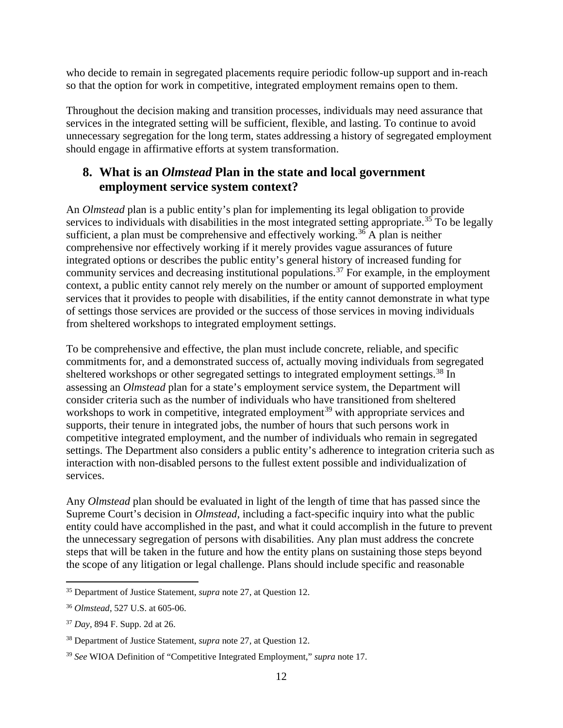who decide to remain in segregated placements require periodic follow-up support and in-reach so that the option for work in competitive, integrated employment remains open to them.

Throughout the decision making and transition processes, individuals may need assurance that services in the integrated setting will be sufficient, flexible, and lasting. To continue to avoid unnecessary segregation for the long term, states addressing a history of segregated employment should engage in affirmative efforts at system transformation.

## **8. What is an** *Olmstead* **Plan in the state and local government employment service system context?**

An *Olmstead* plan is a public entity's plan for implementing its legal obligation to provide services to individuals with disabilities in the most integrated setting appropriate.<sup>[35](#page-11-0)</sup> To be legally sufficient, a plan must be comprehensive and effectively working.<sup>[36](#page-11-1)</sup> A plan is neither comprehensive nor effectively working if it merely provides vague assurances of future integrated options or describes the public entity's general history of increased funding for community services and decreasing institutional populations.<sup>[37](#page-11-2)</sup> For example, in the employment context, a public entity cannot rely merely on the number or amount of supported employment services that it provides to people with disabilities, if the entity cannot demonstrate in what type of settings those services are provided or the success of those services in moving individuals from sheltered workshops to integrated employment settings.

To be comprehensive and effective, the plan must include concrete, reliable, and specific commitments for, and a demonstrated success of, actually moving individuals from segregated sheltered workshops or other segregated settings to integrated employment settings.<sup>[38](#page-11-3)</sup> In assessing an *Olmstead* plan for a state's employment service system, the Department will consider criteria such as the number of individuals who have transitioned from sheltered workshops to work in competitive, integrated employment<sup>[39](#page-11-4)</sup> with appropriate services and supports, their tenure in integrated jobs, the number of hours that such persons work in competitive integrated employment, and the number of individuals who remain in segregated settings. The Department also considers a public entity's adherence to integration criteria such as interaction with non-disabled persons to the fullest extent possible and individualization of services.

Any *Olmstead* plan should be evaluated in light of the length of time that has passed since the Supreme Court's decision in *Olmstead*, including a fact-specific inquiry into what the public entity could have accomplished in the past, and what it could accomplish in the future to prevent the unnecessary segregation of persons with disabilities. Any plan must address the concrete steps that will be taken in the future and how the entity plans on sustaining those steps beyond the scope of any litigation or legal challenge. Plans should include specific and reasonable

<span id="page-11-0"></span><sup>35</sup> Department of Justice Statement, *supra* note 27, at Question 12.

<span id="page-11-1"></span><sup>36</sup> *Olmstead*, 527 U.S. at 605-06.

<span id="page-11-2"></span><sup>37</sup> *Day*, 894 F. Supp. 2d at 26.

<span id="page-11-3"></span><sup>38</sup> Department of Justice Statement, *supra* note 27, at Question 12.

<span id="page-11-4"></span><sup>39</sup> *See* WIOA Definition of "Competitive Integrated Employment," *supra* note 17.